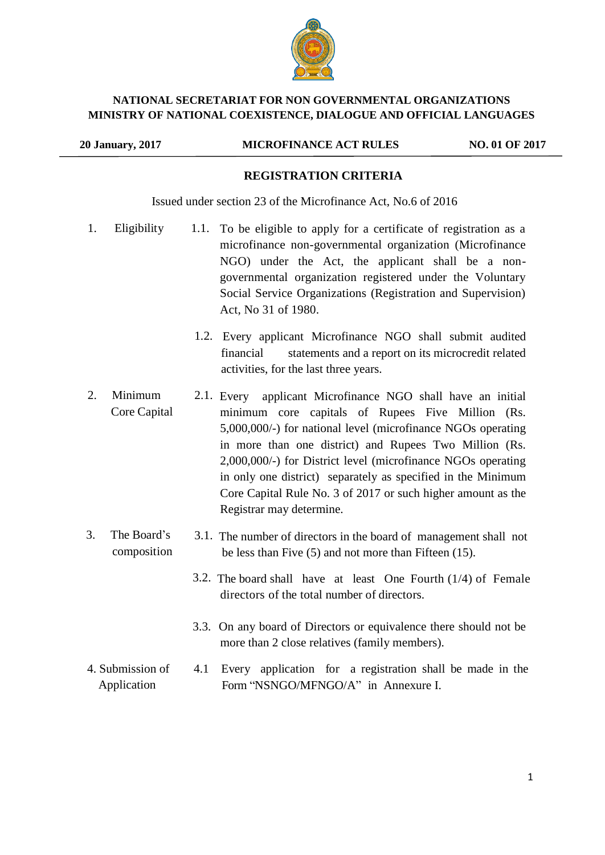

#### **NATIONAL SECRETARIAT FOR NON GOVERNMENTAL ORGANIZATIONS MINISTRY OF NATIONAL COEXISTENCE, DIALOGUE AND OFFICIAL LANGUAGES**

#### **20 January, 2017 MICROFINANCE ACT RULES NO. 01 OF 2017**

#### **REGISTRATION CRITERIA**

Issued under section 23 of the Microfinance Act, No.6 of 2016

- 1. Eligibility 1.1. To be eligible to apply for a certificate of registration as a microfinance non-governmental organization (Microfinance NGO) under the Act, the applicant shall be a nongovernmental organization registered under the Voluntary Social Service Organizations (Registration and Supervision) Act, No 31 of 1980.
	- 1.2. Every applicant Microfinance NGO shall submit audited financial statements and a report on its microcredit related activities, for the last three years.
- 2. Minimum Core Capital 2.1. Every applicant Microfinance NGO shall have an initial minimum core capitals of Rupees Five Million (Rs. 5,000,000/-) for national level (microfinance NGOs operating in more than one district) and Rupees Two Million (Rs. 2,000,000/-) for District level (microfinance NGOs operating in only one district) separately as specified in the Minimum Core Capital Rule No. 3 of 2017 or such higher amount as the Registrar may determine.
- 3. The Board's composition 3.1. The number of directors in the board of management shall not be less than Five (5) and not more than Fifteen (15).
	- 3.2. The board shall have at least One Fourth (1/4) of Female directors of the total number of directors.
	- 3.3. On any board of Directors or equivalence there should not be more than 2 close relatives (family members).
- 4. Submission of 4.1 Every application for a registration shall be made in the Application Form "NSNGO/MFNGO/A" in Annexure I.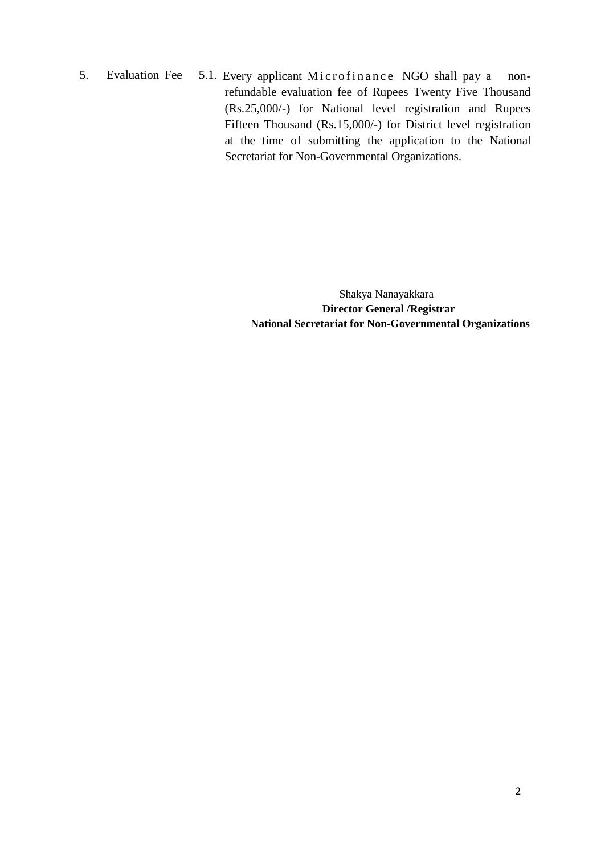5. Evaluation Fee 5.1. Every applicant Microfinance NGO shall pay a nonrefundable evaluation fee of Rupees Twenty Five Thousand (Rs.25,000/-) for National level registration and Rupees Fifteen Thousand (Rs.15,000/-) for District level registration at the time of submitting the application to the National Secretariat for Non-Governmental Organizations.

> Shakya Nanayakkara **Director General /Registrar National Secretariat for Non-Governmental Organizations**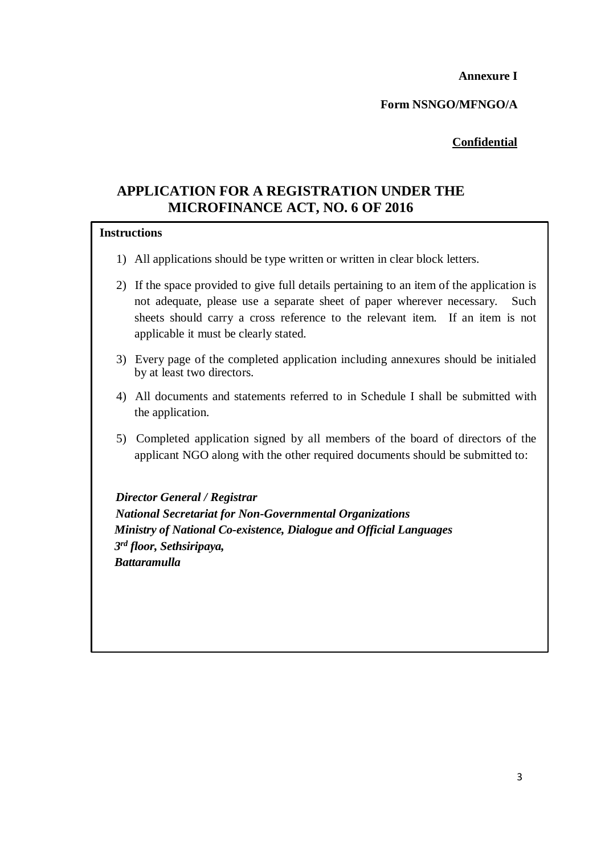**Annexure I** 

**Form NSNGO/MFNGO/A**

# **Confidential**

# **APPLICATION FOR A REGISTRATION UNDER THE MICROFINANCE ACT, NO. 6 OF 2016**

#### **Instructions**

- 1) All applications should be type written or written in clear block letters.
- 2) If the space provided to give full details pertaining to an item of the application is not adequate, please use a separate sheet of paper wherever necessary. Such sheets should carry a cross reference to the relevant item. If an item is not applicable it must be clearly stated.
- 3) Every page of the completed application including annexures should be initialed by at least two directors.
- 4) All documents and statements referred to in Schedule I shall be submitted with the application.
- 5) Completed application signed by all members of the board of directors of the applicant NGO along with the other required documents should be submitted to:

 *Director General / Registrar National Secretariat for Non-Governmental Organizations Ministry of National Co-existence, Dialogue and Official Languages 3 rd floor, Sethsiripaya, Battaramulla*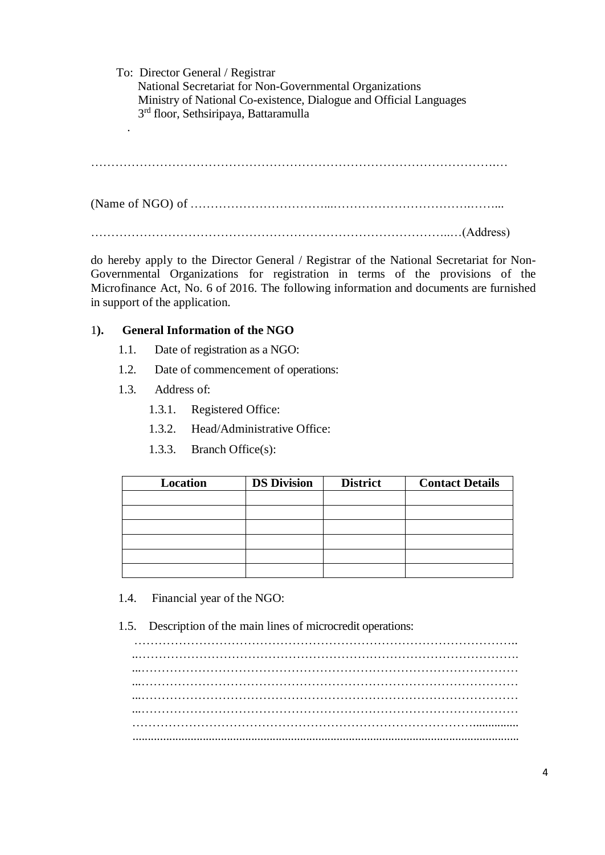To: Director General / Registrar National Secretariat for Non-Governmental Organizations Ministry of National Co-existence, Dialogue and Official Languages 3 rd floor, Sethsiripaya, Battaramulla .

……………………………………………………………………………………….…

(Name of NGO) of ……………………………...…………………………….……...

……………………………………………………………………………..…(Address)

do hereby apply to the Director General / Registrar of the National Secretariat for Non-Governmental Organizations for registration in terms of the provisions of the Microfinance Act, No. 6 of 2016. The following information and documents are furnished in support of the application.

## 1**). General Information of the NGO**

- 1.1. Date of registration as a NGO:
- 1.2. Date of commencement of operations:
- 1.3. Address of:
	- 1.3.1. Registered Office:
	- 1.3.2. Head/Administrative Office:
	- 1.3.3. Branch Office(s):

| Location | <b>DS Division</b> | <b>District</b> | <b>Contact Details</b> |
|----------|--------------------|-----------------|------------------------|
|          |                    |                 |                        |
|          |                    |                 |                        |
|          |                    |                 |                        |
|          |                    |                 |                        |
|          |                    |                 |                        |
|          |                    |                 |                        |

- 1.4. Financial year of the NGO:
- 1.5. Description of the main lines of microcredit operations:

………………………………………………………………………………….. ...………………………………………………………………………………… ...………………………………………………………………………………… ...………………………………………………………………………………… …………………………………………………………………………............... ...............................................................................................................................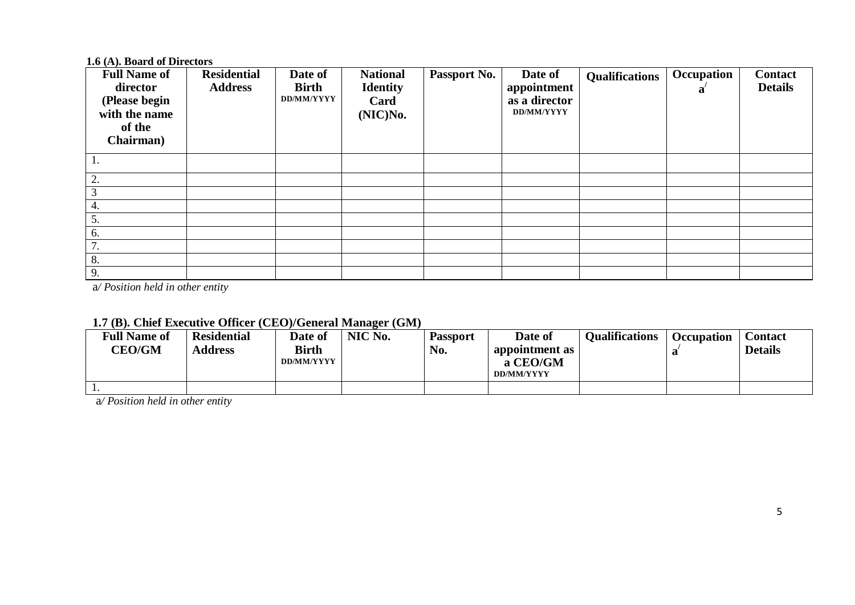## **1.6 (A). Board of Directors**

| <b>Full Name of</b><br>director<br>(Please begin<br>with the name<br>of the<br>Chairman) | <b>Residential</b><br><b>Address</b> | Date of<br><b>Birth</b><br>DD/MM/YYYY | <b>National</b><br><b>Identity</b><br>Card<br>(NIC)No. | Passport No. | Date of<br>appointment<br>as a director<br><b>DD/MM/YYYY</b> | <b>Qualifications</b> | Occupation<br>a | <b>Contact</b><br><b>Details</b> |
|------------------------------------------------------------------------------------------|--------------------------------------|---------------------------------------|--------------------------------------------------------|--------------|--------------------------------------------------------------|-----------------------|-----------------|----------------------------------|
|                                                                                          |                                      |                                       |                                                        |              |                                                              |                       |                 |                                  |
| 2.                                                                                       |                                      |                                       |                                                        |              |                                                              |                       |                 |                                  |
| ⌒                                                                                        |                                      |                                       |                                                        |              |                                                              |                       |                 |                                  |
| 4.                                                                                       |                                      |                                       |                                                        |              |                                                              |                       |                 |                                  |
| 5.                                                                                       |                                      |                                       |                                                        |              |                                                              |                       |                 |                                  |
| 6.                                                                                       |                                      |                                       |                                                        |              |                                                              |                       |                 |                                  |
| 7<br>$\prime$ .                                                                          |                                      |                                       |                                                        |              |                                                              |                       |                 |                                  |
| 8.                                                                                       |                                      |                                       |                                                        |              |                                                              |                       |                 |                                  |
| 9.                                                                                       |                                      |                                       |                                                        |              |                                                              |                       |                 |                                  |

a*/ Position held in other entity*

| <b>Full Name of</b><br><b>CEO/GM</b> | <b>Residential</b><br><b>Address</b> | Date of<br><b>Birth</b><br>DD/MM/YYYY | NIC No. | <b>Passport</b><br>No. | Date of<br>appointment as<br>a CEO/GM<br>DD/MM/YYYY | <b>Oualifications</b> | <b>Occupation</b> | Contact<br><b>Details</b> |
|--------------------------------------|--------------------------------------|---------------------------------------|---------|------------------------|-----------------------------------------------------|-----------------------|-------------------|---------------------------|
| . .                                  |                                      |                                       |         |                        |                                                     |                       |                   |                           |

# **1.7 (B). Chief Executive Officer (CEO)/General Manager (GM)**

a*/ Position held in other entity*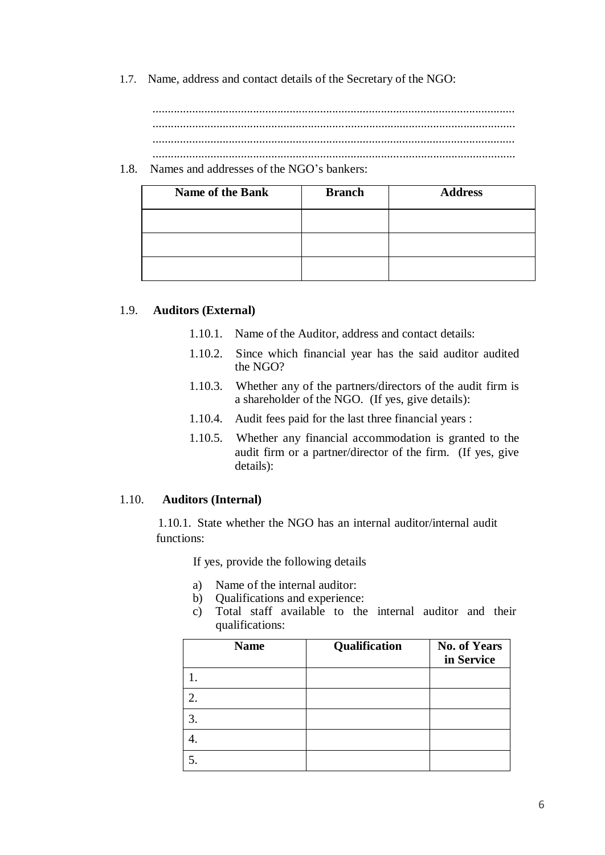1.7. Name, address and contact details of the Secretary of the NGO:

....................................................................................................................... ....................................................................................................................... ....................................................................................................................... .......................................................................................................................

1.8. Names and addresses of the NGO's bankers:

| <b>Name of the Bank</b> | <b>Branch</b> | <b>Address</b> |
|-------------------------|---------------|----------------|
|                         |               |                |
|                         |               |                |
|                         |               |                |

#### 1.9. **Auditors (External)**

- 1.10.1. Name of the Auditor, address and contact details:
- 1.10.2. Since which financial year has the said auditor audited the NGO?
- 1.10.3. Whether any of the partners/directors of the audit firm is a shareholder of the NGO. (If yes, give details):
- 1.10.4. Audit fees paid for the last three financial years :
- 1.10.5. Whether any financial accommodation is granted to the audit firm or a partner/director of the firm. (If yes, give details):

#### 1.10. **Auditors (Internal)**

1.10.1. State whether the NGO has an internal auditor/internal audit functions:

If yes, provide the following details

- a) Name of the internal auditor:
- b) Qualifications and experience:
- c) Total staff available to the internal auditor and their qualifications:

| <b>Name</b> | Qualification | <b>No. of Years</b><br>in Service |
|-------------|---------------|-----------------------------------|
|             |               |                                   |
| 2.          |               |                                   |
| 3.          |               |                                   |
|             |               |                                   |
|             |               |                                   |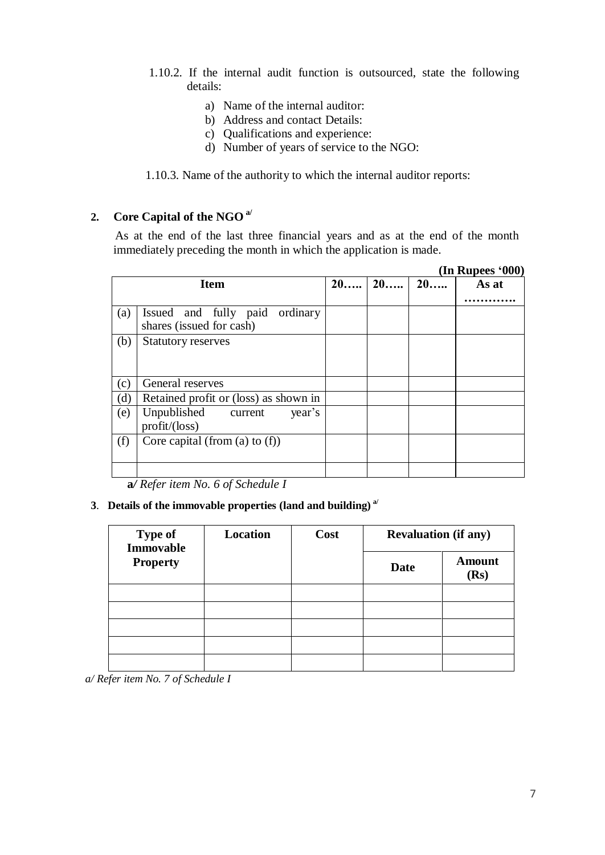- 1.10.2. If the internal audit function is outsourced, state the following details:
	- a) Name of the internal auditor:
	- b) Address and contact Details:
	- c) Qualifications and experience:
	- d) Number of years of service to the NGO:

1.10.3. Name of the authority to which the internal auditor reports:

# **2. Core Capital of the NGO a/**

As at the end of the last three financial years and as at the end of the month immediately preceding the month in which the application is made.

|     |                                                               |    |    |    | (In Rupees '000) |
|-----|---------------------------------------------------------------|----|----|----|------------------|
|     | <b>Item</b>                                                   | 20 | 20 | 20 | As at            |
|     |                                                               |    |    |    |                  |
| (a) | Issued and fully paid<br>ordinary<br>shares (issued for cash) |    |    |    |                  |
| (b) | <b>Statutory reserves</b>                                     |    |    |    |                  |
| (c) | General reserves                                              |    |    |    |                  |
| (d) | Retained profit or (loss) as shown in                         |    |    |    |                  |
| (e) | Unpublished<br>year's<br>current<br>$profit/(\text{loss})$    |    |    |    |                  |
| (f) | Core capital (from (a) to $(f)$ )                             |    |    |    |                  |
|     |                                                               |    |    |    |                  |

**a***/ Refer item No. 6 of Schedule I*

#### **3**. **Details of the immovable properties (land and building) a/**

| <b>Type of</b><br><b>Immovable</b> | <b>Location</b> | Cost | <b>Revaluation (if any)</b> |                       |
|------------------------------------|-----------------|------|-----------------------------|-----------------------|
| <b>Property</b>                    |                 |      | <b>Date</b>                 | <b>Amount</b><br>(Rs) |
|                                    |                 |      |                             |                       |
|                                    |                 |      |                             |                       |
|                                    |                 |      |                             |                       |
|                                    |                 |      |                             |                       |
|                                    |                 |      |                             |                       |

*a/ Refer item No. 7 of Schedule I*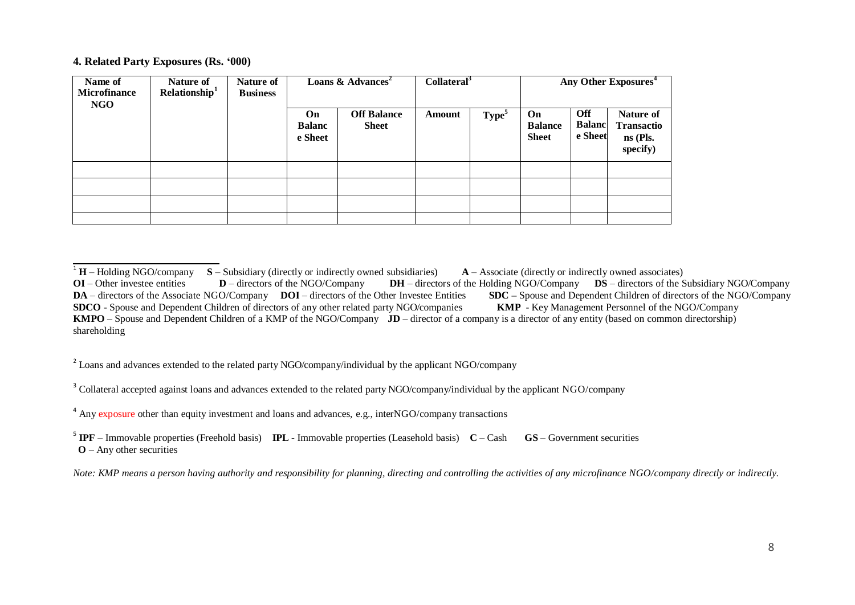#### **4. Related Party Exposures (Rs. '000)**

| Name of<br><b>Microfinance</b><br>NGO | Nature of<br>Relationship <sup>1</sup> | Nature of<br><b>Business</b> | Loans & Advances <sup>2</sup>  |                                    | Collateral <sup>3</sup> |                   | Any Other Exposures <sup>4</sup>            |                                        |                                                          |
|---------------------------------------|----------------------------------------|------------------------------|--------------------------------|------------------------------------|-------------------------|-------------------|---------------------------------------------|----------------------------------------|----------------------------------------------------------|
|                                       |                                        |                              | On<br><b>Balanc</b><br>e Sheet | <b>Off Balance</b><br><b>Sheet</b> | Amount                  | Type <sup>5</sup> | <b>On</b><br><b>Balance</b><br><b>Sheet</b> | <b>Off</b><br><b>Balanc</b><br>e Sheet | Nature of<br><b>Transactio</b><br>$ns$ (Pls.<br>specify) |
|                                       |                                        |                              |                                |                                    |                         |                   |                                             |                                        |                                                          |
|                                       |                                        |                              |                                |                                    |                         |                   |                                             |                                        |                                                          |
|                                       |                                        |                              |                                |                                    |                         |                   |                                             |                                        |                                                          |
|                                       |                                        |                              |                                |                                    |                         |                   |                                             |                                        |                                                          |

<sup>2</sup> Loans and advances extended to the related party NGO/company/individual by the applicant NGO/company

<sup>3</sup> Collateral accepted against loans and advances extended to the related party NGO/company/individual by the applicant NGO/company

<sup>4</sup> Any exposure other than equity investment and loans and advances, e.g., interNGO/company transactions

5 **IPF** – Immovable properties (Freehold basis) **IPL** - Immovable properties (Leasehold basis) **C** – Cash **GS** – Government securities  **O** – Any other securities

<sup>&</sup>lt;sup>1</sup> **H** – Holding NGO/company **S** – Subsidiary (directly or indirectly owned subsidiaries) **A** – Associate (directly or indirectly owned associates) **OI** – Other investee entities **D** – directors of the NGO/Company **DH** – **DH** – directors of the Holding NGO/Company **DS** – directors of the Subsidiary NGO/Company leer Investee Entities **SDC** – Spouse and Dependent Children of directors of the NGO/Company **DA** – directors of the Associate NGO/Company **DOI** – directors of the Other Investee Entities **SDC** – Spouse and Dependent Children of directors of the NG<br>**SDCO** - Spouse and Dependent Children of directors of any other r **SDCO** - Spouse and Dependent Children of directors of any other related party NGO/companies **KMPO** – Spouse and Dependent Children of a KMP of the NGO/Company **JD** – director of a company is a director of any entity (based on common directorship) shareholding

Note: KMP means a person having authority and responsibility for planning, directing and controlling the activities of any microfinance NGO/company directly or indirectly.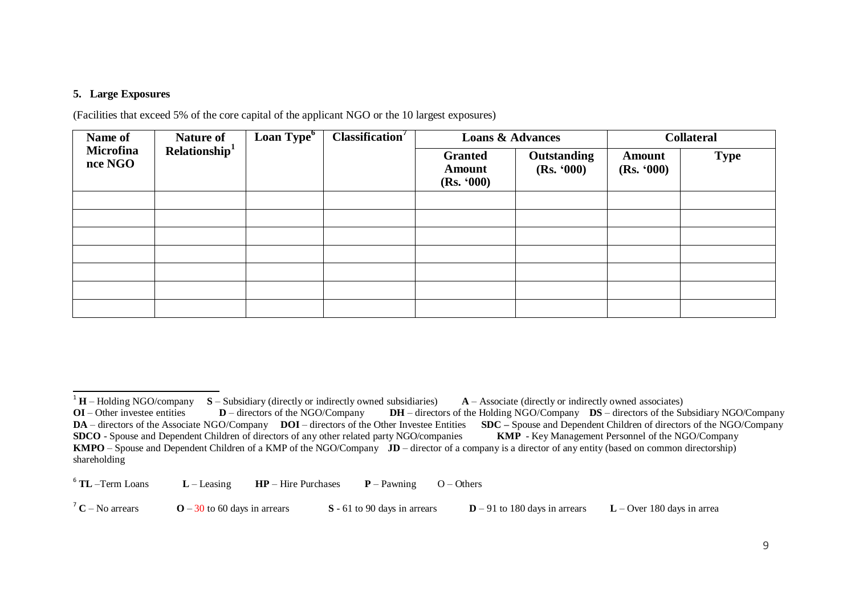#### **5. Large Exposures**

(Facilities that exceed 5% of the core capital of the applicant NGO or the 10 largest exposures)

| Name of                     | <b>Nature of</b>          | Loan Type <sup>6</sup> | Classification <sup>7</sup> | <b>Loans &amp; Advances</b>                   |                                  | <b>Collateral</b>           |             |
|-----------------------------|---------------------------|------------------------|-----------------------------|-----------------------------------------------|----------------------------------|-----------------------------|-------------|
| <b>Microfina</b><br>nce NGO | Relationship <sup>1</sup> |                        |                             | <b>Granted</b><br><b>Amount</b><br>(Rs. '000) | <b>Outstanding</b><br>(Rs. '000) | <b>Amount</b><br>(Rs. '000) | <b>Type</b> |
|                             |                           |                        |                             |                                               |                                  |                             |             |
|                             |                           |                        |                             |                                               |                                  |                             |             |
|                             |                           |                        |                             |                                               |                                  |                             |             |
|                             |                           |                        |                             |                                               |                                  |                             |             |
|                             |                           |                        |                             |                                               |                                  |                             |             |
|                             |                           |                        |                             |                                               |                                  |                             |             |
|                             |                           |                        |                             |                                               |                                  |                             |             |

 $6$  TL -Term Loans  $L$  – Leasing **HP** – Hire Purchases **P** – Pawning O – Others

<sup>7</sup> **C** – No arrears **O** – 30 to 60 days in arrears **S** - 61 to 90 days in arrears **D** – 91 to 180 days in arrears **L** – Over 180 days in arrea

<sup>&</sup>lt;sup>1</sup> **H** – Holding NGO/company **S** – Subsidiary (directly or indirectly owned subsidiaries) **A** – Associate (directly or indirectly owned associates)

**OI** – Other investee entities **D** – directors of the NGO/Company **DH** – directors of the Holding NGO/Company **DS** – directors of the Subsidiary NGO/Company **DA** – directors of the Associate NGO/Company **DOI** – directors o **DA** – directors of the Associate NGO/Company **DOI** – directors of the Other Investee Entities **SDCO** - Spouse and Dependent Children of directors of any other related party NGO/companies **KMP** - Key Management Personnel of the NGO/Company **KMPO** – Spouse and Dependent Children of a KMP of the NGO/Company **JD** – director of a company is a director of any entity (based on common directorship) shareholding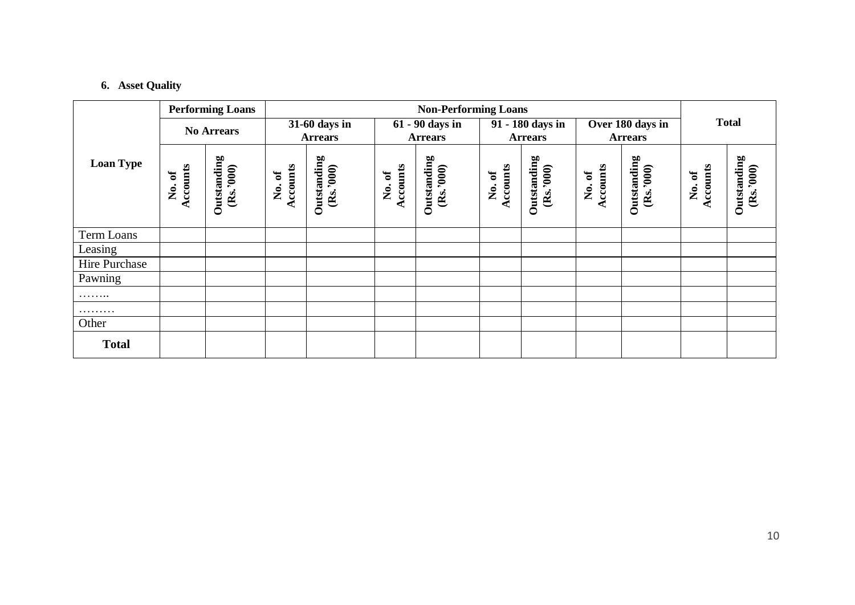# **6. Asset Quality**

|                  | <b>Performing Loans</b> |                          |                    | <b>Non-Performing Loans</b>                   |                           |                                   |                   |                                    |                    |                                    |                     |                         |  |
|------------------|-------------------------|--------------------------|--------------------|-----------------------------------------------|---------------------------|-----------------------------------|-------------------|------------------------------------|--------------------|------------------------------------|---------------------|-------------------------|--|
|                  |                         | <b>No Arrears</b>        |                    | $\overline{31}$ -60 days in<br><b>Arrears</b> |                           | 61 - 90 days in<br><b>Arrears</b> |                   | 91 - 180 days in<br><b>Arrears</b> |                    | Over 180 days in<br><b>Arrears</b> |                     | <b>Total</b>            |  |
| <b>Loan Type</b> | Accounts<br>ð<br>Ż.     | Outstanding<br>(Rs.3000) | Accounts<br>No. of | Outstanding<br>(Rs.3000)                      | <b>Accounts</b><br>No. of | Outstanding<br>(Rs.3000)          | Accounts<br>No.of | Outstanding<br>(Rs.3000)           | Accounts<br>No. of | Outstanding<br>(Rs.3000)           | Accounts<br>ð<br>Ş. | Outstanding<br>(Rs.300) |  |
| Term Loans       |                         |                          |                    |                                               |                           |                                   |                   |                                    |                    |                                    |                     |                         |  |
| Leasing          |                         |                          |                    |                                               |                           |                                   |                   |                                    |                    |                                    |                     |                         |  |
| Hire Purchase    |                         |                          |                    |                                               |                           |                                   |                   |                                    |                    |                                    |                     |                         |  |
| Pawning          |                         |                          |                    |                                               |                           |                                   |                   |                                    |                    |                                    |                     |                         |  |
| .                |                         |                          |                    |                                               |                           |                                   |                   |                                    |                    |                                    |                     |                         |  |
| .                |                         |                          |                    |                                               |                           |                                   |                   |                                    |                    |                                    |                     |                         |  |
| Other            |                         |                          |                    |                                               |                           |                                   |                   |                                    |                    |                                    |                     |                         |  |
| <b>Total</b>     |                         |                          |                    |                                               |                           |                                   |                   |                                    |                    |                                    |                     |                         |  |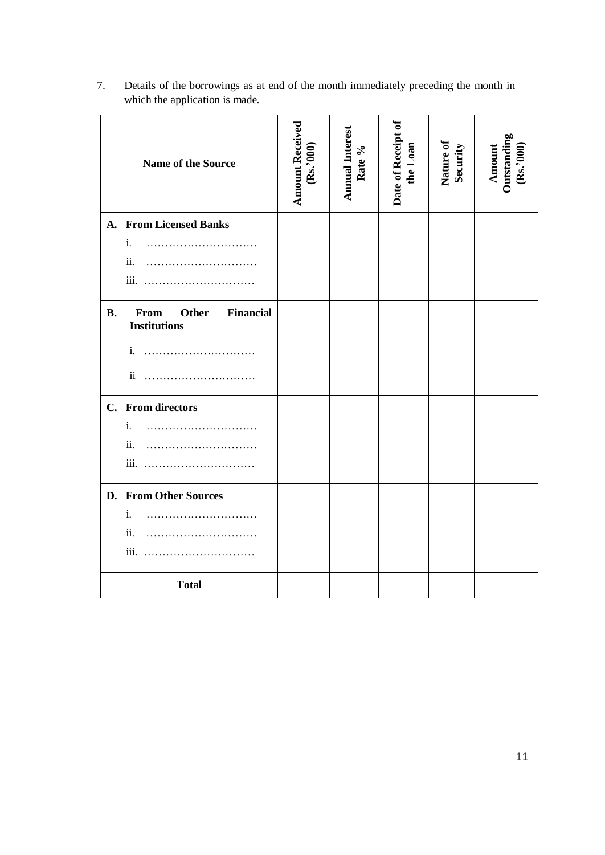|           | Name of the Source                                              | <b>Amount Received</b><br>(Rs.3000) | Annual Interest<br>Rate % | Date of Receipt of<br>the Loan | Nature of<br>Security | Amount<br>Outstanding<br>(Rs.'000) |
|-----------|-----------------------------------------------------------------|-------------------------------------|---------------------------|--------------------------------|-----------------------|------------------------------------|
| A.        | <b>From Licensed Banks</b>                                      |                                     |                           |                                |                       |                                    |
|           | i.                                                              |                                     |                           |                                |                       |                                    |
|           | ii.                                                             |                                     |                           |                                |                       |                                    |
|           |                                                                 |                                     |                           |                                |                       |                                    |
| <b>B.</b> | From<br><b>Other</b><br><b>Financial</b><br><b>Institutions</b> |                                     |                           |                                |                       |                                    |
|           | i.                                                              |                                     |                           |                                |                       |                                    |
|           | $\mathbf{ii}$                                                   |                                     |                           |                                |                       |                                    |
|           | C. From directors                                               |                                     |                           |                                |                       |                                    |
|           | i.                                                              |                                     |                           |                                |                       |                                    |
|           | ii.                                                             |                                     |                           |                                |                       |                                    |
|           |                                                                 |                                     |                           |                                |                       |                                    |
|           | D. From Other Sources                                           |                                     |                           |                                |                       |                                    |
|           | i.                                                              |                                     |                           |                                |                       |                                    |
|           | ii.                                                             |                                     |                           |                                |                       |                                    |
|           |                                                                 |                                     |                           |                                |                       |                                    |
|           | <b>Total</b>                                                    |                                     |                           |                                |                       |                                    |

7. Details of the borrowings as at end of the month immediately preceding the month in which the application is made.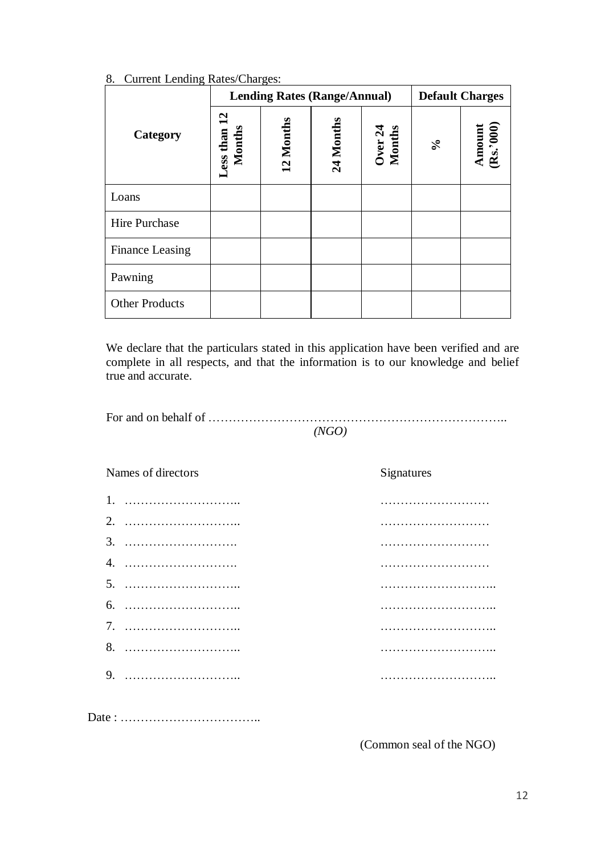|                       | $\cdots$               | <b>Lending Rates (Range/Annual)</b> |           |                   | <b>Default Charges</b>  |                     |
|-----------------------|------------------------|-------------------------------------|-----------|-------------------|-------------------------|---------------------|
| Category              | Less than 12<br>Months | 12 Months                           | 24 Months | Over 24<br>Months | $\mathcal{S}_{\bullet}$ | Amount<br>(Rs.'000) |
| Loans                 |                        |                                     |           |                   |                         |                     |
| Hire Purchase         |                        |                                     |           |                   |                         |                     |
| Finance Leasing       |                        |                                     |           |                   |                         |                     |
| Pawning               |                        |                                     |           |                   |                         |                     |
| <b>Other Products</b> |                        |                                     |           |                   |                         |                     |

#### 8. Current Lending Rates/Charges:

We declare that the particulars stated in this application have been verified and are complete in all respects, and that the information is to our knowledge and belief true and accurate.

| (NGO) |
|-------|

| Names of directors | Signatures |
|--------------------|------------|
|                    |            |
|                    |            |
|                    |            |
|                    |            |
|                    |            |
|                    |            |
|                    |            |
|                    |            |
|                    |            |
|                    |            |
|                    |            |

(Common seal of the NGO)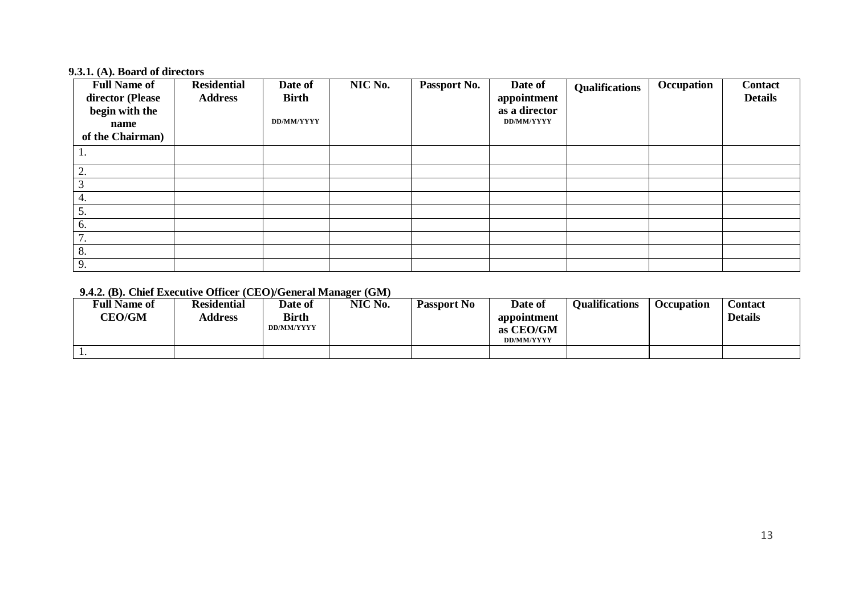#### **9.3.1. (A). Board of directors**

| <b>Full Name of</b><br>director (Please<br>begin with the<br>name | <b>Residential</b><br><b>Address</b> | Date of<br><b>Birth</b><br>DD/MM/YYYY | NIC No. | Passport No. | Date of<br>appointment<br>as a director<br>DD/MM/YYYY | <b>Qualifications</b> | Occupation | <b>Contact</b><br><b>Details</b> |
|-------------------------------------------------------------------|--------------------------------------|---------------------------------------|---------|--------------|-------------------------------------------------------|-----------------------|------------|----------------------------------|
| of the Chairman)                                                  |                                      |                                       |         |              |                                                       |                       |            |                                  |
| ι.                                                                |                                      |                                       |         |              |                                                       |                       |            |                                  |
| $\bigcirc$<br>۷.                                                  |                                      |                                       |         |              |                                                       |                       |            |                                  |
|                                                                   |                                      |                                       |         |              |                                                       |                       |            |                                  |
| 4.                                                                |                                      |                                       |         |              |                                                       |                       |            |                                  |
| 5.                                                                |                                      |                                       |         |              |                                                       |                       |            |                                  |
| 6.                                                                |                                      |                                       |         |              |                                                       |                       |            |                                  |
| $\mathcal{I}$<br>. .                                              |                                      |                                       |         |              |                                                       |                       |            |                                  |
| 8.                                                                |                                      |                                       |         |              |                                                       |                       |            |                                  |
| 9.                                                                |                                      |                                       |         |              |                                                       |                       |            |                                  |

# **9.4.2. (B). Chief Executive Officer (CEO)/General Manager (GM)**

| <b>Full Name of</b><br><b>CEO/GM</b> | <b>Residential</b><br><b>Address</b> | Date of<br><b>Birth</b><br>DD/MM/YYYY | NIC No. | <b>Passport No</b> | Date of<br>appointment<br>as CEO/GM<br><b>DD/MM/YYYY</b> | <b>Oualifications</b> | <b>Occupation</b> | <b>Contact</b><br><b>Details</b> |
|--------------------------------------|--------------------------------------|---------------------------------------|---------|--------------------|----------------------------------------------------------|-----------------------|-------------------|----------------------------------|
| . .                                  |                                      |                                       |         |                    |                                                          |                       |                   |                                  |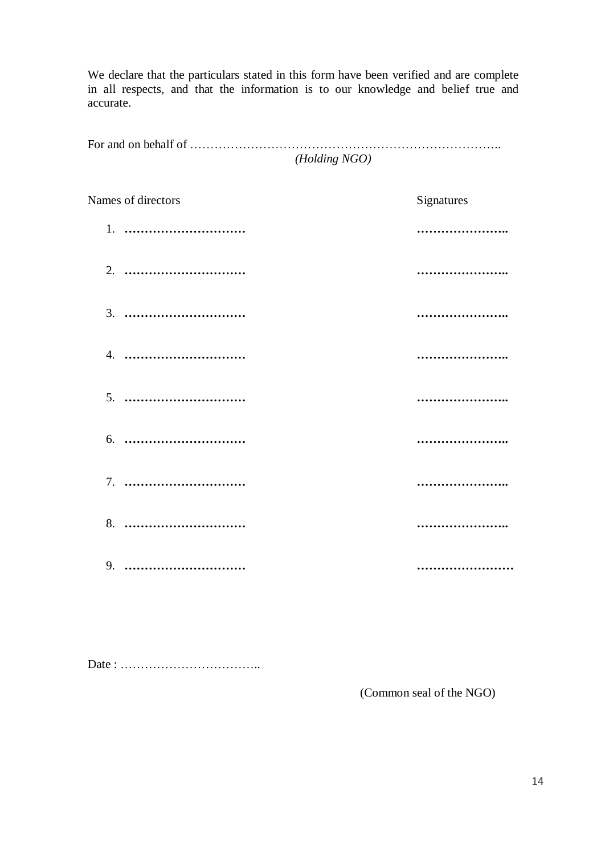We declare that the particulars stated in this form have been verified and are complete in all respects, and that the information is to our knowledge and belief true and accurate.

For and on behalf of ………………………………………………………………….. *(Holding NGO)*

| Names of directors | Signatures |
|--------------------|------------|
| 1.                 |            |
| 2.                 |            |
| 3.                 |            |
|                    |            |
|                    |            |
| 6.                 |            |
|                    |            |
|                    |            |
| 9.                 |            |

Date : ……………………………..

(Common seal of the NGO)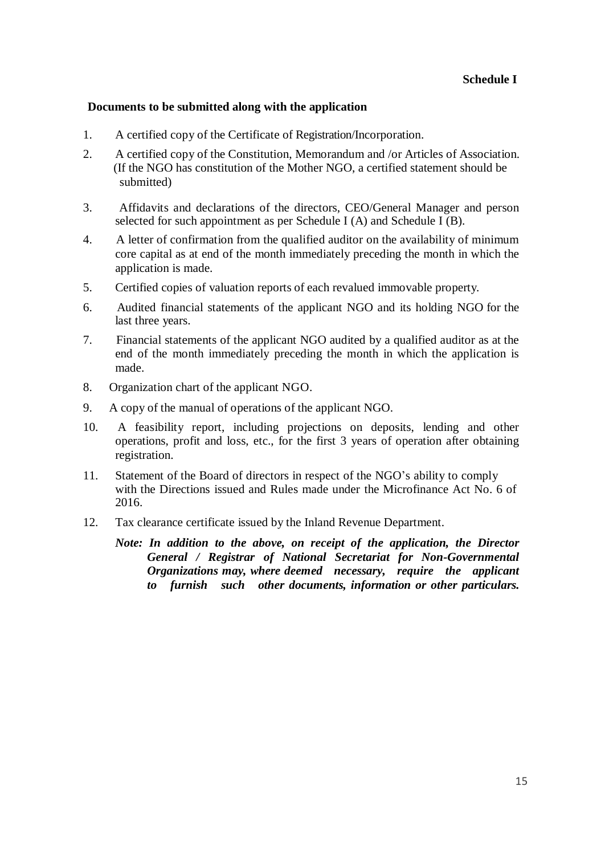#### **Documents to be submitted along with the application**

- 1. A certified copy of the Certificate of Registration/Incorporation.
- 2. A certified copy of the Constitution, Memorandum and /or Articles of Association. (If the NGO has constitution of the Mother NGO, a certified statement should be submitted)
- 3. Affidavits and declarations of the directors, CEO/General Manager and person selected for such appointment as per Schedule I  $(A)$  and Schedule I  $(B)$ .
- 4. A letter of confirmation from the qualified auditor on the availability of minimum core capital as at end of the month immediately preceding the month in which the application is made.
- 5. Certified copies of valuation reports of each revalued immovable property.
- 6. Audited financial statements of the applicant NGO and its holding NGO for the last three years.
- 7. Financial statements of the applicant NGO audited by a qualified auditor as at the end of the month immediately preceding the month in which the application is made.
- 8. Organization chart of the applicant NGO.
- 9. A copy of the manual of operations of the applicant NGO.
- 10. A feasibility report, including projections on deposits, lending and other operations, profit and loss, etc., for the first 3 years of operation after obtaining registration.
- 11. Statement of the Board of directors in respect of the NGO's ability to comply with the Directions issued and Rules made under the Microfinance Act No. 6 of 2016.
- 12. Tax clearance certificate issued by the Inland Revenue Department.

*Note: In addition to the above, on receipt of the application, the Director General / Registrar of National Secretariat for Non-Governmental Organizations may, where deemed necessary, require the applicant to furnish such other documents, information or other particulars.*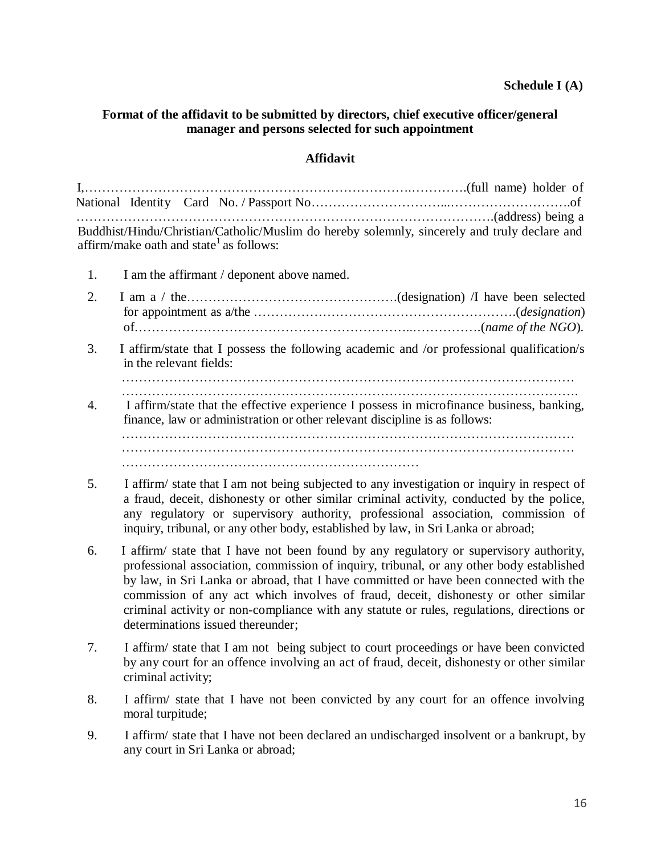#### **Schedule I (A)**

#### **Format of the affidavit to be submitted by directors, chief executive officer/general manager and persons selected for such appointment**

## **Affidavit**

| Buddhist/Hindu/Christian/Catholic/Muslim do hereby solemnly, sincerely and truly declare and |  |
|----------------------------------------------------------------------------------------------|--|
| affirm/make oath and state <sup>1</sup> as follows:                                          |  |

- 1. I am the affirmant / deponent above named.
- 2. I am a / the………………………………………….(designation) /I have been selected for appointment as a/the …………………………………………………….(*designation*) of………………………………………………………..…………….(*name of the NGO*).
- 3. I affirm/state that I possess the following academic and /or professional qualification/s in the relevant fields:

- 4. I affirm/state that the effective experience I possess in microfinance business, banking, finance, law or administration or other relevant discipline is as follows: …………………………………………………………………………………………… …………………………………………………………………………………………… ……………………………………………………………
- 5. I affirm/ state that I am not being subjected to any investigation or inquiry in respect of a fraud, deceit, dishonesty or other similar criminal activity, conducted by the police, any regulatory or supervisory authority, professional association, commission of inquiry, tribunal, or any other body, established by law, in Sri Lanka or abroad;
- 6. I affirm/ state that I have not been found by any regulatory or supervisory authority, professional association, commission of inquiry, tribunal, or any other body established by law, in Sri Lanka or abroad, that I have committed or have been connected with the commission of any act which involves of fraud, deceit, dishonesty or other similar criminal activity or non-compliance with any statute or rules, regulations, directions or determinations issued thereunder;
- 7. I affirm/ state that I am not being subject to court proceedings or have been convicted by any court for an offence involving an act of fraud, deceit, dishonesty or other similar criminal activity;
- 8. I affirm/ state that I have not been convicted by any court for an offence involving moral turpitude;
- 9. I affirm/ state that I have not been declared an undischarged insolvent or a bankrupt, by any court in Sri Lanka or abroad;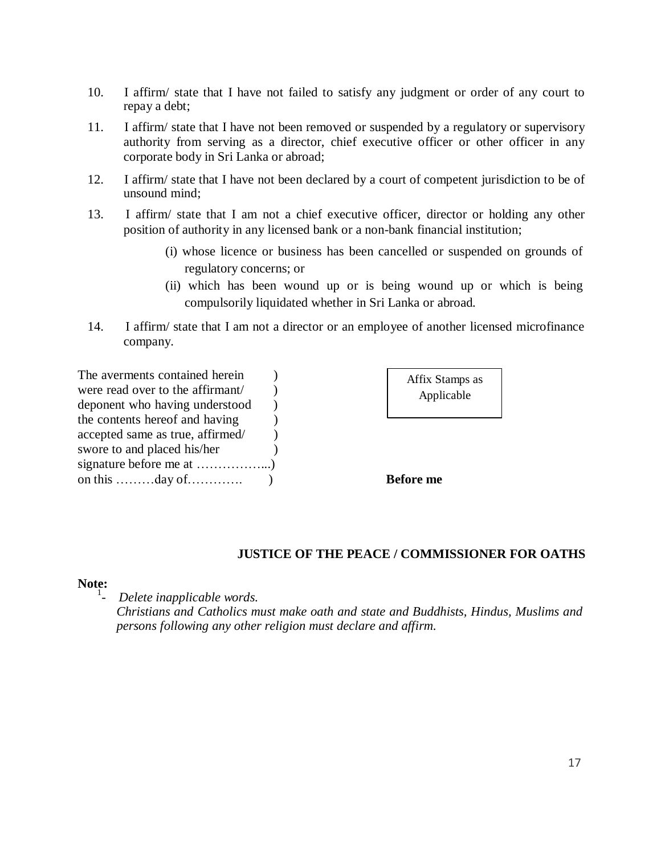- 10. I affirm/ state that I have not failed to satisfy any judgment or order of any court to repay a debt;
- 11. I affirm/ state that I have not been removed or suspended by a regulatory or supervisory authority from serving as a director, chief executive officer or other officer in any corporate body in Sri Lanka or abroad;
- 12. I affirm/ state that I have not been declared by a court of competent jurisdiction to be of unsound mind;
- 13. I affirm/ state that I am not a chief executive officer, director or holding any other position of authority in any licensed bank or a non-bank financial institution;
	- (i) whose licence or business has been cancelled or suspended on grounds of regulatory concerns; or
	- (ii) which has been wound up or is being wound up or which is being compulsorily liquidated whether in Sri Lanka or abroad.
- 14. I affirm/ state that I am not a director or an employee of another licensed microfinance company.

| The averments contained herein                               |  |
|--------------------------------------------------------------|--|
| were read over to the affirmant/                             |  |
| deponent who having understood                               |  |
| the contents hereof and having                               |  |
| accepted same as true, affirmed/                             |  |
| swore to and placed his/her                                  |  |
|                                                              |  |
| on this $\dots \dots \dots \dots$ day of $\dots \dots \dots$ |  |

| Affix Stamps as |  |
|-----------------|--|
| Applicable      |  |

**Before** me

#### **JUSTICE OF THE PEACE / COMMISSIONER FOR OATHS**

#### **Note:**

1 *- Delete inapplicable words.*

> *Christians and Catholics must make oath and state and Buddhists, Hindus, Muslims and persons following any other religion must declare and affirm.*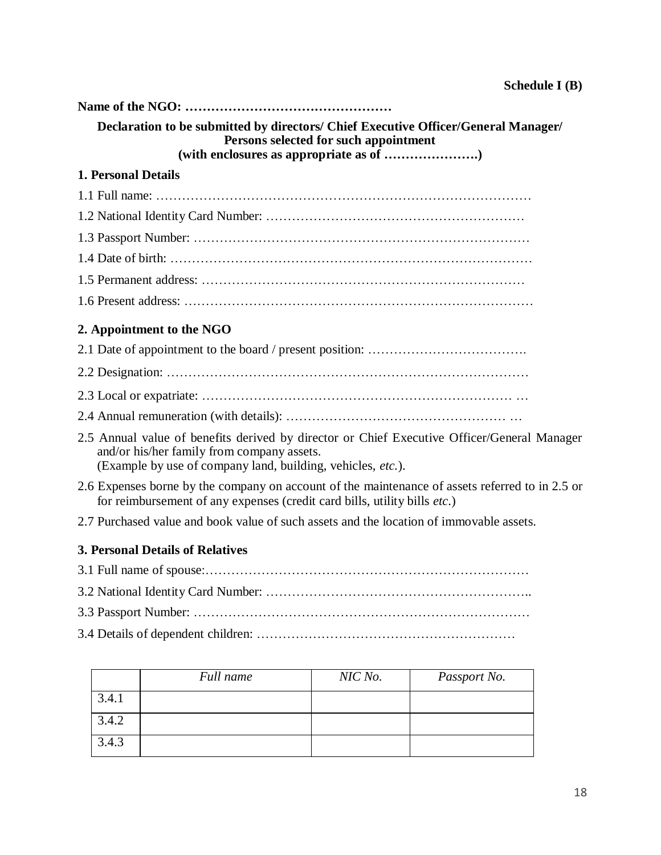| Declaration to be submitted by directors/ Chief Executive Officer/General Manager/<br>Persons selected for such appointment                                                                              |
|----------------------------------------------------------------------------------------------------------------------------------------------------------------------------------------------------------|
|                                                                                                                                                                                                          |
| <b>1. Personal Details</b>                                                                                                                                                                               |
|                                                                                                                                                                                                          |
|                                                                                                                                                                                                          |
|                                                                                                                                                                                                          |
|                                                                                                                                                                                                          |
|                                                                                                                                                                                                          |
|                                                                                                                                                                                                          |
| 2. Appointment to the NGO                                                                                                                                                                                |
|                                                                                                                                                                                                          |
|                                                                                                                                                                                                          |
|                                                                                                                                                                                                          |
|                                                                                                                                                                                                          |
| 2.5 Annual value of benefits derived by director or Chief Executive Officer/General Manager<br>and/or his/her family from company assets.<br>(Example by use of company land, building, vehicles, etc.). |
| 2.6 Expenses borne by the company on account of the maintenance of assets referred to in 2.5 or<br>for reimbursement of any expenses (credit card bills, utility bills etc.)                             |
| 2.7 Purchased value and book value of such assets and the location of immovable assets.                                                                                                                  |
| <b>3. Personal Details of Relatives</b>                                                                                                                                                                  |
|                                                                                                                                                                                                          |
|                                                                                                                                                                                                          |

- 3.3 Passport Number: ……………………………………………………………………
- 3.4 Details of dependent children: ……………………………………………………

|       | Full name | NIC No. | Passport No. |
|-------|-----------|---------|--------------|
| 3.4.1 |           |         |              |
| 3.4.2 |           |         |              |
| 3.4.3 |           |         |              |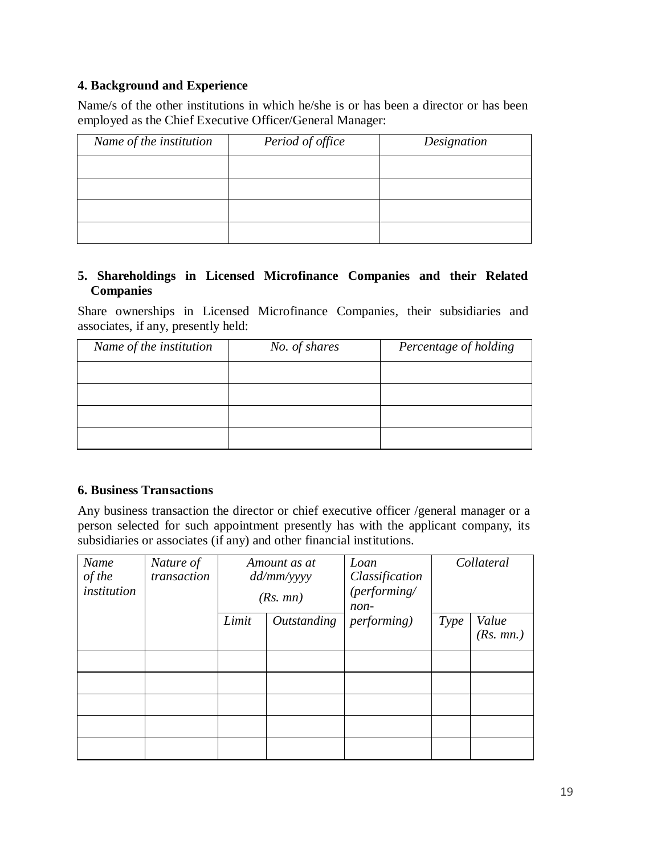## **4. Background and Experience**

Name/s of the other institutions in which he/she is or has been a director or has been employed as the Chief Executive Officer/General Manager:

| Name of the institution | Period of office | Designation |
|-------------------------|------------------|-------------|
|                         |                  |             |
|                         |                  |             |
|                         |                  |             |
|                         |                  |             |

## **5. Shareholdings in Licensed Microfinance Companies and their Related Companies**

Share ownerships in Licensed Microfinance Companies, their subsidiaries and associates, if any, presently held:

| Name of the institution | No. of shares | Percentage of holding |
|-------------------------|---------------|-----------------------|
|                         |               |                       |
|                         |               |                       |
|                         |               |                       |
|                         |               |                       |

#### **6. Business Transactions**

Any business transaction the director or chief executive officer /general manager or a person selected for such appointment presently has with the applicant company, its subsidiaries or associates (if any) and other financial institutions.

| Name<br>of the<br>institution | Nature of<br>transaction | Amount as at<br>dd/mm/yyyy<br>(Rs. mn) |             | Loan<br>Classification<br>(performing/<br>non- | Collateral |           |
|-------------------------------|--------------------------|----------------------------------------|-------------|------------------------------------------------|------------|-----------|
|                               |                          | Limit                                  | Outstanding | <i>performing</i> )                            | Type       | Value     |
|                               |                          |                                        |             |                                                |            | (Rs. mn.) |
|                               |                          |                                        |             |                                                |            |           |
|                               |                          |                                        |             |                                                |            |           |
|                               |                          |                                        |             |                                                |            |           |
|                               |                          |                                        |             |                                                |            |           |
|                               |                          |                                        |             |                                                |            |           |